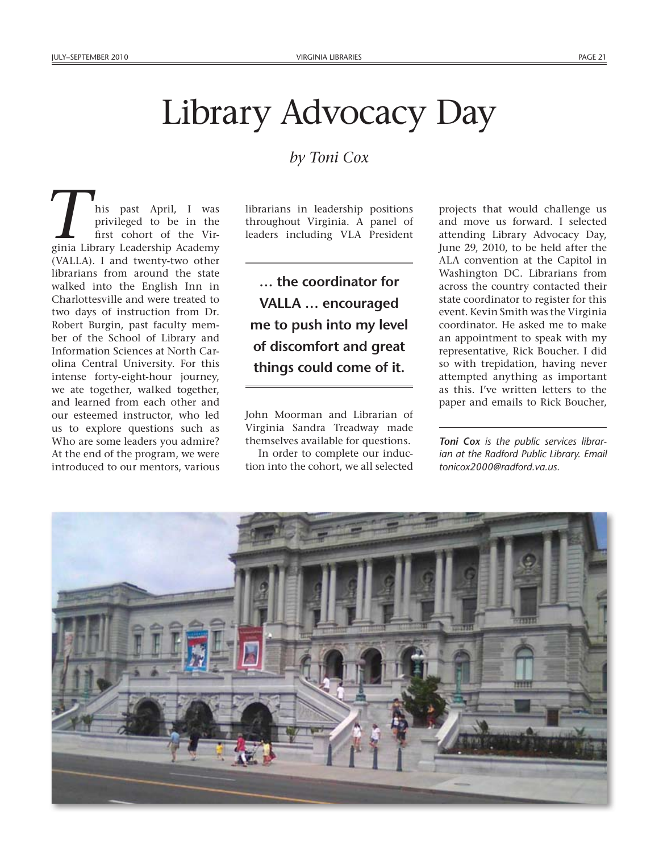## Library Advocacy Day

## *by Toni Cox*

his past April, I was privileged to be in the first cohort of the Virhis past April, I was privileged to be in the first cohort of the Virginia Library Leadership Academy (VALLA). I and twenty-two other librarians from around the state walked into the English Inn in Charlottesville and were treated to two days of instruction from Dr. Robert Burgin, past faculty member of the School of Library and Information Sciences at North Carolina Central University. For this intense forty-eight-hour journey, we ate together, walked together, and learned from each other and our esteemed instructor, who led us to explore questions such as Who are some leaders you admire? At the end of the program, we were introduced to our mentors, various

librarians in leadership positions throughout Virginia. A panel of leaders including VLA President

**… the coordinator for VALLA … encouraged me to push into my level of discomfort and great things could come of it.**

John Moorman and Librarian of Virginia Sandra Treadway made themselves available for questions.

In order to complete our induction into the cohort, we all selected

projects that would challenge us and move us forward. I selected attending Library Advocacy Day, June 29, 2010, to be held after the ALA convention at the Capitol in Washington DC. Librarians from across the country contacted their state coordinator to register for this event. Kevin Smith was the Virginia coordinator. He asked me to make an appointment to speak with my representative, Rick Boucher. I did so with trepidation, having never attempted anything as important as this. I've written letters to the paper and emails to Rick Boucher,

*Toni Cox is the public services librarian at the Radford Public Library. Email [tonicox2000@radford.va.us.](mailto:tonicox2000@radford.va.us)*

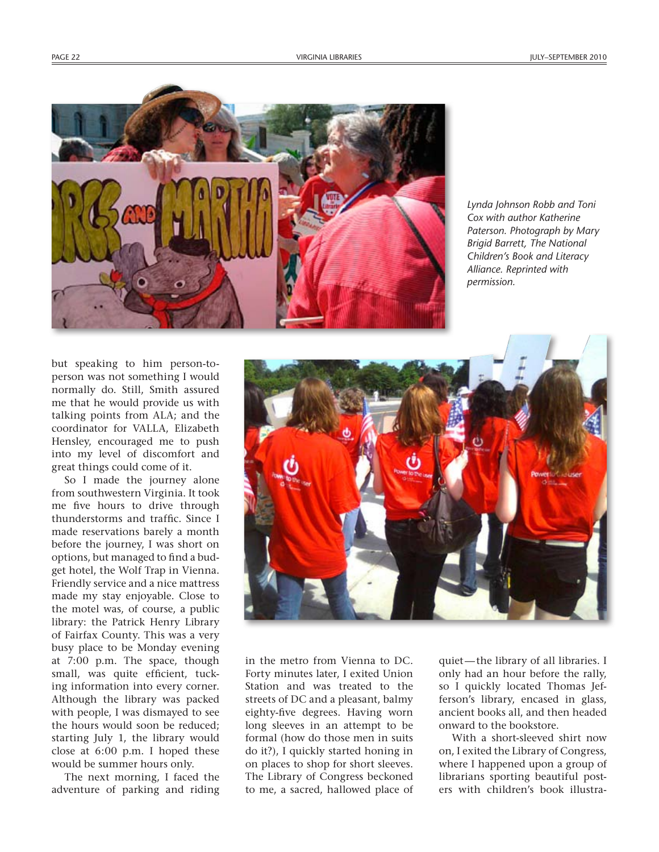

*Lynda Johnson Robb and Toni Cox with author Katherine Paterson. Photograph by Mary Brigid Barrett, The National Children's Book and Literacy Alliance. Reprinted with permission.*

but speaking to him person-toperson was not something I would normally do. Still, Smith assured me that he would provide us with talking points from ALA; and the coordinator for VALLA, Elizabeth Hensley, encouraged me to push into my level of discomfort and great things could come of it.

So I made the journey alone from southwestern Virginia. It took me five hours to drive through thunderstorms and traffic. Since I made reservations barely a month before the journey, I was short on options, but managed to find a budget hotel, the Wolf Trap in Vienna. Friendly service and a nice mattress made my stay enjoyable. Close to the motel was, of course, a public library: the Patrick Henry Library of Fairfax County. This was a very busy place to be Monday evening at 7:00 p.m. The space, though small, was quite efficient, tucking information into every corner. Although the library was packed with people, I was dismayed to see the hours would soon be reduced; starting July 1, the library would close at 6:00 p.m. I hoped these would be summer hours only.

The next morning, I faced the adventure of parking and riding



in the metro from Vienna to DC. Forty minutes later, I exited Union Station and was treated to the streets of DC and a pleasant, balmy eighty-five degrees. Having worn long sleeves in an attempt to be formal (how do those men in suits do it?), I quickly started honing in on places to shop for short sleeves. The Library of Congress beckoned to me, a sacred, hallowed place of quiet—the library of all libraries. I only had an hour before the rally, so I quickly located Thomas Jefferson's library, encased in glass, ancient books all, and then headed onward to the bookstore.

With a short-sleeved shirt now on, I exited the Library of Congress, where I happened upon a group of librarians sporting beautiful posters with children's book illustra-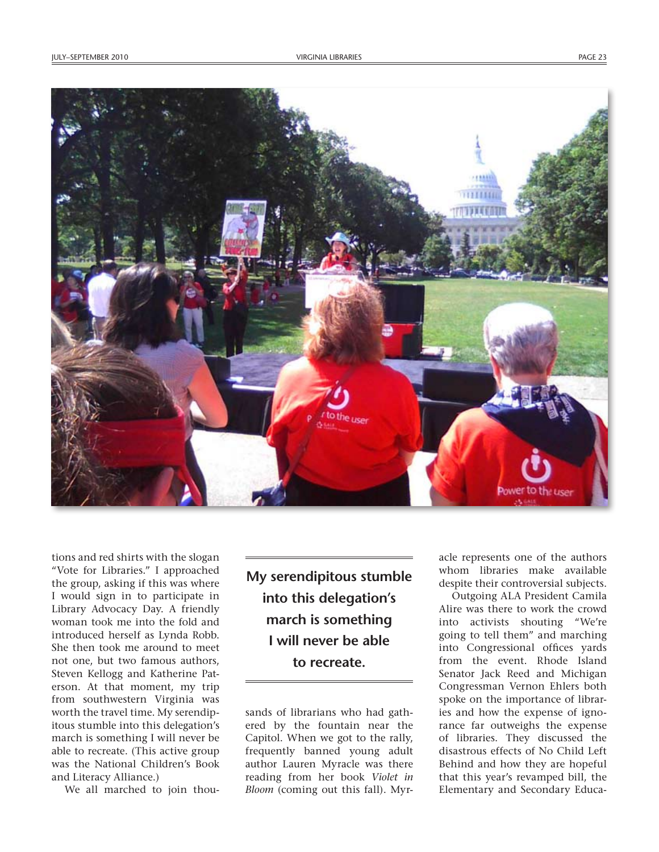

tions and red shirts with the slogan "Vote for Libraries." I approached the group, asking if this was where I would sign in to participate in Library Advocacy Day. A friendly woman took me into the fold and introduced herself as Lynda Robb. She then took me around to meet not one, but two famous authors, Steven Kellogg and Katherine Paterson. At that moment, my trip from southwestern Virginia was worth the travel time. My serendipitous stumble into this delegation's march is something I will never be able to recreate. (This active group was the National Children's Book and Literacy Alliance.)

We all marched to join thou-

**My serendipitous stumble into this delegation's march is something I will never be able to recreate.**

sands of librarians who had gathered by the fountain near the Capitol. When we got to the rally, frequently banned young adult author Lauren Myracle was there reading from her book *Violet in Bloom* (coming out this fall). Myracle represents one of the authors whom libraries make available despite their controversial subjects.

Outgoing ALA President Camila Alire was there to work the crowd into activists shouting "We're going to tell them" and marching into Congressional offices yards from the event. Rhode Island Senator Jack Reed and Michigan Congressman Vernon Ehlers both spoke on the importance of libraries and how the expense of ignorance far outweighs the expense of libraries. They discussed the disastrous effects of No Child Left Behind and how they are hopeful that this year's revamped bill, the Elementary and Secondary Educa-